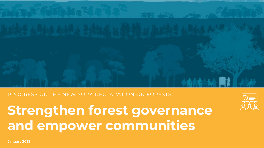# **GOAL OVERVIEW**

# PROGRESS ON THE NEW YORK DECLARATION ON FORESTS

**Strengthen forest governance and empower communities**

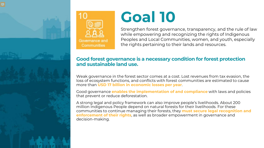



# **Goal 10**

Strengthen forest governance, transparency, and the rule of law while empowering and recognizing the rights of Indigenous Peoples and Local Communities, women, and youth, especially the rights pertaining to their lands and resources.

# **Good forest governance is a necessary condition for forest protection and sustainable land use.**

Weak governance in the forest sector comes at a cost. Lost revenues from tax evasion, the loss of ecosystem functions, and conflicts with forest communities are estimated to cause more than **USD 17 billion in economic losses per year**.

Good governance **enables the implementation of and compliance** with laws and policies that prevent or reduce deforestation.

A strong legal and policy framework can also improve people's livelihoods. About 200 million Indigenous People depend on natural forests for their livelihoods. For these communities to continue managing their forests, they **must secure legal recognition and enforcement of their rights**, as well as broader empowerment in governance and decision-making.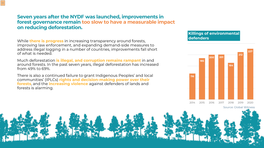# **Seven years after the NYDF was launched, improvements in forest governance remain too slow to have a measurable impact on reducing deforestation.**

While **there is progress** in increasing transparency around forests, improving law enforcement, and expanding demand-side measures to address illegal logging in a number of countries, improvements fall short of what is needed.

Much deforestation **is illegal, and corruption remains rampant** in and around forests. In the past seven years, illegal deforestation has increased from 49% to 69%.

There is also a continued failure to grant Indigenous Peoples' and local communities' (IPLCs) **rights and decision-making power over their forests**, and the **increasing violence** against defenders of lands and forests is alarming.

#### **Killings of environmental defenders**



Source: Global Witness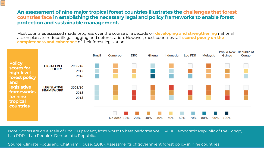# **An assessment of nine major tropical forest countries illustrates the challenges that forest countries face in establishing the necessary legal and policy frameworks to enable forest protection and sustainable management.**

 $|\equiv$ 

Most countries assessed made progress over the course of a decade on **developing and strengthening** national action plans to reduce illegal logging and deforestation. However, most countries still **scored poorly on the completeness and coherence** of their forest legislation.



Note: Scores are on a scale of 0 to 100 percent, from worst to best performance. DRC = Democratic Republic of the Congo, Lao PDR = Lao People's Democratic Republic.

Source: Climate Focus and Chatham House. (2018). Assessments of government forest policy in nine countries.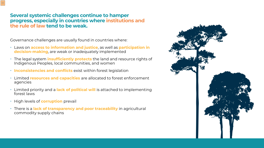# **Several systemic challenges continue to hamper progress, especially in countries where institutions and the rule of law tend to be weak.**

Governance challenges are usually found in countries where:

- Laws on **access to information and justice**, as well as **participation in decision-making**, are weak or inadequately implemented
- The legal system **insufficiently protects** the land and resource rights of Indigenous Peoples, local communities, and women
- **Inconsistencies and conflicts** exist within forest legislation
- Limited **resources and capacities** are allocated to forest enforcement agencies
- Limited priority and a **lack of political will** is attached to implementing forest laws
- High levels of **corruption** prevail
- There is a **lack of transparency and poor traceability** in agricultural commodity supply chains

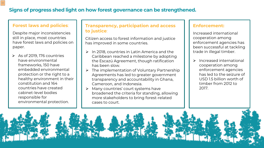# **Signs of progress shed light on how forest governance can be strengthened.**

#### **Forest laws and policies**:

Despite major inconsistencies still in place, most countries have forest laws and policies on paper.

 $\triangleright$  As of 2019, 176 countries have environmental frameworks, 150 have embedded environmental protection or the right to a healthy environment in their constitution and 164 countries have created cabinet-level bodies responsible for environmental protection.

### **Transparency, participation and access to justice**:

Citizen access to forest information and justice has improved in some countries.

- $\triangleright$  In 2018, countries in Latin America and the Caribbean reached a milestone by adopting the Escazú Agreement, though ratification has been slow.
- $\triangleright$  The implementation of Voluntary Partnership Agreements has led to greater government transparency and accountability in Ghana, Cameroon, and Indonesia.
- Many countries' court systems have broadened the criteria for standing, allowing more stakeholders to bring forest-related cases to court.

#### **Enforcement:**

Increased international cooperation among enforcement agencies has been successful at tackling trade in illegal timber.

 $\triangleright$  Increased international cooperation among enforcement agencies has led to the seizure of USD 1.5 billion worth of timber from 2012 to 2017.

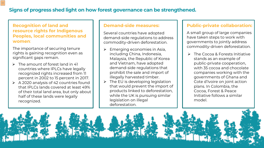# **Signs of progress shed light on how forest governance can be strengthened.**

# **Recognition of land and resource rights for Indigenous Peoples, local communities and women**:

The importance of securing tenure rights is gaining recognition even as significant gaps remain.

- $\triangleright$  The amount of forest land in 41 countries where IPLCs have legally recognized rights increased from 11 percent in 2002 to 15 percent in 2017.
- $\triangleright$  A 2020 analysis of 42 countries found that IPLCs lands covered at least 49% of their total land area, but only about half of these lands were legally recognized.

#### **Demand-side measures:**

Several countries have adopted demand-side regulations to address commodity-driven deforestation.

- Emerging economies in Asia, including China, Indonesia, Malaysia, the Republic of Korea and Vietnam, have adopted demand-side regulations that prohibit the sale and import of illegally harvested timber.
- $\triangleright$  The EU is developing legislation that would prevent the import of products linked to deforestation, while the UK is pursuing similar legislation on illegal deforestation.

# **Public-private collaboration:**

A small group of large companies have taken steps to work with governments to jointly address commodity-driven deforestation.

 $\triangleright$  The Cocoa & Forests Initiative stands as an example of public-private cooperation, with 35 cocoa and chocolate companies working with the governments of Ghana and Cote d'Ivoire on joint action plans. In Colombia, the Cocoa, Forest & Peace Initiative follows a similar model.